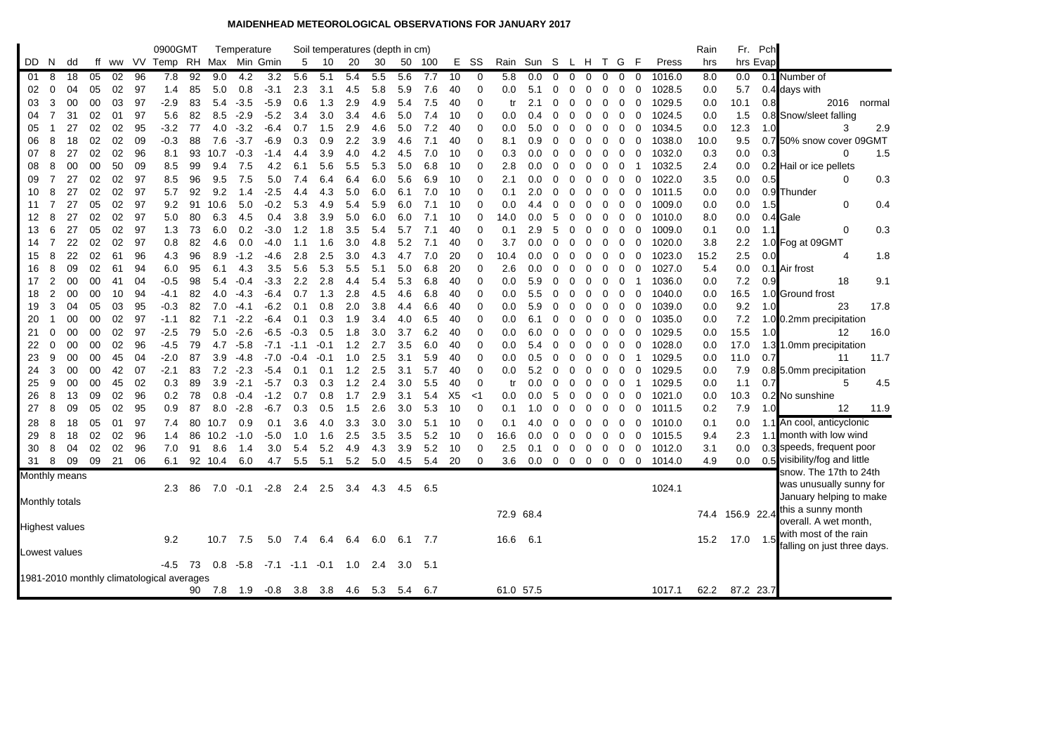## **MAIDENHEAD METEOROLOGICAL OBSERVATIONS FOR JANUARY 2017**

|                                           |                |                |          |          |          | 0900GMT                    |          |             | Temperature      |                  |            |            | Soil temperatures (depth in cm) |            |            |            |                      |             |                |            |                    |        |                  |                  |                  |             |                  | Rain        |             | Fr. Pch  |                                                      |
|-------------------------------------------|----------------|----------------|----------|----------|----------|----------------------------|----------|-------------|------------------|------------------|------------|------------|---------------------------------|------------|------------|------------|----------------------|-------------|----------------|------------|--------------------|--------|------------------|------------------|------------------|-------------|------------------|-------------|-------------|----------|------------------------------------------------------|
| DD.                                       | N              | dd             | ff       |          |          | ww VV Temp RH Max Min Gmin |          |             |                  |                  | 5          | 10         | 20                              | 30         | 50         | 100        | Е                    | SS          | Rain Sun S     |            |                    | L H    |                  | $\top$           | G                | -F          | Press            | hrs         |             | hrs Evap |                                                      |
| 01                                        | 8              | 18             | 05       | 02       | 96       | 7.8                        | 92       | 9.0         | 4.2              | 3.2              | 5.6        | 5.1        | 5.4                             | 5.5        | 5.6        | 7.7        | 10                   | 0           | 5.8            | 0.0        | 0                  | 0      | 0                | 0                | $\mathbf 0$      | 0           | 1016.0           | 8.0         | 0.0         |          | 0.1 Number of                                        |
| 02                                        | 0              | 04             | 05       | 02       | 97       | 1.4                        | 85       | 5.0         | 0.8              | $-3.1$           | 2.3        | 3.1        | 4.5                             | 5.8        | 5.9        | 7.6        | 40                   | 0           | $0.0\,$        | 5.1        | 0                  | 0      | 0                | 0                | 0                | $\mathbf 0$ | 1028.5           | 0.0         | 5.7         |          | 0.4 days with                                        |
| 03                                        | 3              | 00             | 00       | 03       | 97       | $-2.9$                     | 83       | 5.4         | $-3.5$           | $-5.9$           | 0.6        | 1.3        | 2.9                             | 4.9        | 5.4        | 7.5        | 40                   | $\Omega$    | tr             | 2.1        | 0                  | 0      | 0                | 0                | 0                | 0           | 1029.5           | 0.0         | 10.1        | 0.8      | 2016<br>normal                                       |
| 04                                        | 7              | 31             | 02       | 01       | 97       | 5.6                        | 82       | 8.5         | -2.9             | $-5.2$           | 3.4        | 3.0        | 3.4                             | 4.6        | 5.0        | 7.4        | 10                   | 0           | 0.0            | 0.4        | 0                  | 0      | 0                | 0                | 0                | 0           | 1024.5           | 0.0         | 1.5         |          | 0.8 Snow/sleet falling                               |
| 05                                        | -1             | 27             | 02       | 02       | 95       | $-3.2$<br>$-0.3$           | 77       | 4.0         | $-3.2$<br>$-3.7$ | $-6.4$           | 0.7        | 1.5        | 2.9                             | 4.6        | 5.0        | 7.2<br>7.1 | 40                   | $\Omega$    | 0.0            | 5.0        | $\Omega$           | 0      | 0                | 0                | 0                | 0           | 1034.5           | 0.0         | 12.3        | 1.0      | 3<br>2.9<br>0.7 50% snow cover 09GMT                 |
| 06<br>07                                  | 8<br>8         | 18<br>27       | 02<br>02 | 02<br>02 | 09<br>96 | 8.1                        | 88<br>93 | 7.6<br>10.7 | $-0.3$           | $-6.9$<br>$-1.4$ | 0.3<br>4.4 | 0.9<br>3.9 | 2.2<br>4.0                      | 3.9<br>4.2 | 4.6<br>4.5 | 7.0        | 40<br>10             | 0<br>0      | 8.1<br>0.3     | 0.9<br>0.0 | 0<br>0             | 0<br>0 | 0<br>0           | 0<br>0           | 0<br>0           | 0<br>0      | 1038.0<br>1032.0 | 10.0<br>0.3 | 9.5<br>0.0  | 0.3      | 1.5<br>0                                             |
| 08                                        | 8              | 00             | 00       | 50       | 09       | 8.5                        | 99       | 9.4         | 7.5              | 4.2              | 6.1        | 5.6        | 5.5                             | 5.3        | 5.0        | 6.8        | 10                   | 0           | 2.8            | 0.0        | $\Omega$           | 0      | 0                | 0                | 0                | -1          | 1032.5           | 2.4         | 0.0         |          | 0.2 Hail or ice pellets                              |
| 09                                        | $\overline{7}$ | 27             | 02       | 02       | 97       | 8.5                        | 96       | 9.5         | 7.5              | 5.0              | 7.4        | 6.4        | 6.4                             | 6.0        | 5.6        | 6.9        | 10                   | 0           | 2.1            | 0.0        | 0                  | 0      | 0                | 0                | 0                | 0           | 1022.0           | 3.5         | 0.0         | 0.5      | 0.3<br>0                                             |
| 10                                        | 8              | 27             | 02       | 02       | -97      | 5.7                        | 92       | 9.2         | 1.4              | $-2.5$           | 4.4        | 4.3        | 5.0                             | 6.0        | 6.1        | 7.0        | 10                   | 0           | 0.1            | 2.0        | 0                  | 0      | 0                | 0                | 0                | 0           | 1011.5           | 0.0         | 0.0         |          | 0.9 Thunder                                          |
| 11                                        | 7              | 27             | 05       | 02       | 97       | 9.2                        | 91       | 10.6        | 5.0              | $-0.2$           | 5.3        | 4.9        | 5.4                             | 5.9        | 6.0        | 7.1        | 10                   | 0           | 0.0            | 4.4        | 0                  | 0      | 0                | 0                | 0                | 0           | 1009.0           | 0.0         | 0.0         | 1.5      | 0<br>0.4                                             |
| 12                                        | 8              | 27             | 02       | 02       | 97       | 5.0                        | 80       | 6.3         | 4.5              | 0.4              | 3.8        | 3.9        | 5.0                             | 6.0        | 6.0        | 7.1        | 10                   | $\Omega$    | 14.0           | 0.0        | 5                  | 0      | 0                | 0                | 0                | 0           | 1010.0           | 8.0         | 0.0         |          | 0.4 Gale                                             |
| 13                                        | 6              | 27             | 05       | 02       | 97       | 1.3                        | 73       | 6.0         | 0.2              | $-3.0$           | 1.2        | 1.8        | 3.5                             | 5.4        | 5.7        | 7.1        | 40                   | 0           | 0.1            | 2.9        | 5                  | 0      | 0                | 0                | 0                | 0           | 1009.0           | 0.1         | 0.0         | 1.1      | 0.3<br>0                                             |
| 14                                        | 7              | 22             | 02       | 02       | 97       | 0.8                        | 82       | 4.6         | 0.0              | -4.0             | 1.1        | 1.6        | 3.0                             | 4.8        | 5.2        | 7.1        | 40                   | 0           | 3.7            | 0.0        | 0                  | 0      | 0                | 0                | 0                | 0           | 1020.0           | 3.8         | 2.2         |          | 1.0 Fog at 09GMT                                     |
| 15                                        | 8              | 22             | 02       | 61       | 96       | 4.3                        | 96       | 8.9         | $-1.2$           | -4.6             | 2.8        | 2.5        | 3.0                             | 4.3        | 4.7        | 7.0        | 20                   | 0           | 10.4           | 0.0        | $\Omega$           | 0      | 0                | 0                | 0                | 0           | 1023.0           | 15.2        | 2.5         | 0.0      | 1.8<br>4                                             |
| 16                                        | 8              | 09             | 02       | 61       | 94       | 6.0                        | 95       | 6.1         | 4.3              | 3.5              | 5.6        | 5.3        | 5.5                             | 5.1        | 5.0        | 6.8        | 20                   | 0           | 2.6            | 0.0        | 0                  | 0      | 0                | 0                | 0                | 0           | 1027.0           | 5.4         | 0.0         |          | 0.1 Air frost                                        |
| 17                                        | 2              | 00             | 00       | 41       | 04       | $-0.5$                     | 98       | 5.4         | $-0.4$           | $-3.3$           | 2.2        | 2.8        | 4.4                             | 5.4        | 5.3        | 6.8        | 40                   | 0           | 0.0            | 5.9        | 0                  | 0      | 0                | 0                | 0                | -1          | 1036.0           | 0.0         | 7.2         | 0.9      | 18<br>9.1                                            |
| 18                                        | 2              | 00             | 00       | 10       | 94       | -4.1                       | 82       | 4.0         | $-4.3$           | $-6.4$           | 0.7        | 1.3        | 2.8                             | 4.5        | 4.6        | 6.8        | 40                   | 0           | 0.0            | 5.5        | 0                  | 0      | 0                | 0                | 0                | 0           | 1040.0           | 0.0         | 16.5        |          | 1.0 Ground frost                                     |
| 19                                        | 3              | 04             | 05       | 03       | 95       | $-0.3$                     | 82       | 7.0         | $-4.1$           | $-6.2$           | 0.1        | 0.8        | 2.0                             | 3.8        | 4.4        | 6.6        | 40                   | $\mathbf 0$ | $0.0\,$        | 5.9        | $\Omega$           | 0      | 0                | $\Omega$         | $\mathbf 0$      | 0           | 1039.0           | 0.0         | 9.2         | 1.0      | 23<br>17.8                                           |
| 20                                        | -1             | 00             | 00       | 02       | 97       | -1.1                       | 82       | 7.1         | $-2.2$           | $-6.4$           | 0.1        | 0.3        | 1.9                             | 3.4        | 4.0        | 6.5        | 40                   | 0           | 0.0            | 6.1        | 0                  | 0      | 0                | 0                | 0                | 0           | 1035.0           | 0.0         | 7.2         |          | 1.0 0.2mm precipitation                              |
| 21                                        | 0              | 00             | 00       | 02       | 97       | $-2.5$                     | 79       | 5.0         | $-2.6$           | $-6.5$           | $-0.3$     | 0.5        | 1.8                             | 3.0        | 3.7        | 6.2        | 40                   | 0           | 0.0            | 6.0        | 0                  | 0      | 0                | 0                | 0                | 0           | 1029.5           | 0.0         | 15.5        | 1.0      | 16.0<br>12                                           |
| 22                                        | 0              | 00             | 00       | 02       | 96       | $-4.5$                     | 79       | 4.7         | $-5.8$           | $-7.1$           | $-1.1$     | $-0.1$     | 1.2                             | 2.7        | 3.5        | 6.0        | 40                   | 0           | 0.0            | 5.4        | 0                  | 0      | 0                | 0                | 0                | 0           | 1028.0           | 0.0         | 17.0        |          | 1.3 1.0mm precipitation                              |
| 23                                        | 9              | 00             | 00       | 45       | 04       | $-2.0$                     | 87       | 3.9         | $-4.8$           | $-7.0$           | $-0.4$     | $-0.1$     | 1.0                             | 2.5        | 3.1        | 5.9        | 40                   | 0           | 0.0            | 0.5        | 0                  | 0      | 0                | 0                | 0                | -1          | 1029.5           | 0.0         | 11.0        | 0.7      | 11.7<br>11                                           |
| 24                                        | 3              | 00             | 00       | 42       | 07       | -2.1                       | 83       | 7.2         | $-2.3$           | $-5.4$           | 0.1        | 0.1        | 1.2                             | 2.5        | 3.1        | 5.7        | 40                   | 0           | 0.0            | 5.2        | 0                  | 0      | 0                | 0                | 0                | 0           | 1029.5           | 0.0         | 7.9         |          | 0.8 5.0mm precipitation                              |
| 25                                        | 9              | 00             | 00       | 45       | 02       | 0.3                        | 89<br>78 | 3.9         | $-2.1$           | $-5.7$           | 0.3        | 0.3        | 1.2                             | 2.4        | 3.0<br>3.1 | 5.5<br>5.4 | 40                   | 0           | tr             | 0.0        | 0                  | 0      | 0                | 0                | 0                | -1          | 1029.5           | 0.0         | 1.1         | 0.7      | 4.5<br>5                                             |
| 26<br>27                                  | 8<br>8         | 13<br>09       | 09<br>05 | 02<br>02 | 96<br>95 | 0.2<br>0.9                 | 87       | 0.8<br>8.0  | $-0.4$<br>$-2.8$ | $-1.2$<br>$-6.7$ | 0.7<br>0.3 | 0.8<br>0.5 | 1.7<br>1.5                      | 2.9<br>2.6 | 3.0        | 5.3        | X <sub>5</sub><br>10 | ا><br>0     | $0.0\,$<br>0.1 | 0.0<br>1.0 | 5<br>0             | 0<br>0 | 0<br>0           | 0<br>0           | 0                | 0<br>0      | 1021.0<br>1011.5 | 0.0<br>0.2  | 10.3<br>7.9 | 1.0      | 0.2 No sunshine<br>12<br>11.9                        |
|                                           |                |                |          |          |          |                            |          |             |                  |                  |            |            |                                 |            |            |            |                      |             |                |            |                    |        |                  |                  | 0                |             |                  |             |             |          |                                                      |
| 28<br>29                                  | 8<br>8         | 18             | 05       | 01<br>02 | 97<br>96 | 7.4                        | 80       | 10.7        | 0.9              | 0.1              | 3.6        | 4.0        | 3.3                             | 3.0        | 3.0        | 5.1        | 10                   | 0<br>0      | 0.1            | 4.0        | 0                  | 0<br>0 | 0<br>$\mathbf 0$ | 0                | 0                | 0<br>0      | 1010.0           | 0.1         | 0.0<br>2.3  |          | 1.1 An cool, anticyclonic<br>1.1 month with low wind |
| 30                                        | 8              | 18<br>04       | 02<br>02 | 02       | 96       | 1.4<br>7.0                 | 86<br>91 | 10.2<br>8.6 | $-1.0$<br>1.4    | $-5.0$<br>3.0    | 1.0<br>5.4 | 1.6<br>5.2 | 2.5<br>4.9                      | 3.5<br>4.3 | 3.5<br>3.9 | 5.2<br>5.2 | 10<br>10             | 0           | 16.6<br>2.5    | 0.0<br>0.1 | 0<br>0             | 0      | 0                | 0<br>$\mathbf 0$ | 0<br>$\mathbf 0$ | 0           | 1015.5<br>1012.0 | 9.4<br>3.1  | 0.0         |          | 0.3 speeds, frequent poor                            |
| 31                                        | 8              | 09             | 09       | 21       | 06       | 6.1                        |          | 92 10.4     | 6.0              | 4.7              | 5.5        | 5.1        | 5.2                             | 5.0        | 4.5        | 5.4        | 20                   | 0           | 3.6            | 0.0        | $0\,0\,0\,0\,0\,0$ |        |                  |                  |                  |             | 1014.0           | 4.9         | 0.0         |          | 0.5 visibility/fog and little                        |
|                                           |                | Monthly means  |          |          |          |                            |          |             |                  |                  |            |            |                                 |            |            |            |                      |             |                |            |                    |        |                  |                  |                  |             |                  |             |             |          | snow. The 17th to 24th                               |
|                                           |                |                |          |          |          | 2.3                        | 86       | 7.0         | $-0.1$           | $-2.8$           | 2.4        | 2.5        | 3.4                             | 4.3        | 4.5        | 6.5        |                      |             |                |            |                    |        |                  |                  |                  |             | 1024.1           |             |             |          | was unusually sunny for                              |
|                                           |                | Monthly totals |          |          |          |                            |          |             |                  |                  |            |            |                                 |            |            |            |                      |             |                |            |                    |        |                  |                  |                  |             |                  |             |             |          | January helping to make                              |
|                                           |                |                |          |          |          |                            |          |             |                  |                  |            |            |                                 |            |            |            |                      |             | 72.9 68.4      |            |                    |        |                  |                  |                  |             |                  | 74.4        | 156.9 22.4  |          | this a sunny month                                   |
| <b>Highest values</b>                     |                |                |          |          |          |                            |          |             |                  |                  |            |            |                                 |            |            |            |                      |             |                |            |                    |        |                  |                  |                  |             |                  |             |             |          | overall. A wet month,                                |
|                                           |                |                |          |          |          | 9.2                        |          | 10.7        | 7.5              | 5.0              | 7.4        | 6.4        | 6.4                             | 6.0        | 6.1        | 7.7        |                      |             | 16.6           | 6.1        |                    |        |                  |                  |                  |             |                  | 15.2        | 17.0        | - 1.5    | with most of the rain                                |
|                                           |                | Lowest values  |          |          |          |                            |          |             |                  |                  |            |            |                                 |            |            |            |                      |             |                |            |                    |        |                  |                  |                  |             |                  |             |             |          | falling on just three days.                          |
|                                           |                |                |          |          |          | -4.5                       | 73       | 0.8         | $-5.8$           | $-7.1$           | -1.1 -0.1  |            | 1.0                             | 2.4        | 3.0        | 5.1        |                      |             |                |            |                    |        |                  |                  |                  |             |                  |             |             |          |                                                      |
| 1981-2010 monthly climatological averages |                |                |          |          |          |                            |          |             |                  |                  |            |            |                                 |            |            |            |                      |             |                |            |                    |        |                  |                  |                  |             |                  |             |             |          |                                                      |
|                                           |                |                |          |          |          |                            | 90       | 7.8         | 1.9              | $-0.8$           | 3.8        | 3.8        | 4.6                             | 5.3        | 5.4        | 6.7        |                      |             | 61.0 57.5      |            |                    |        |                  |                  |                  |             | 1017.1           | 62.2        | 87.2 23.7   |          |                                                      |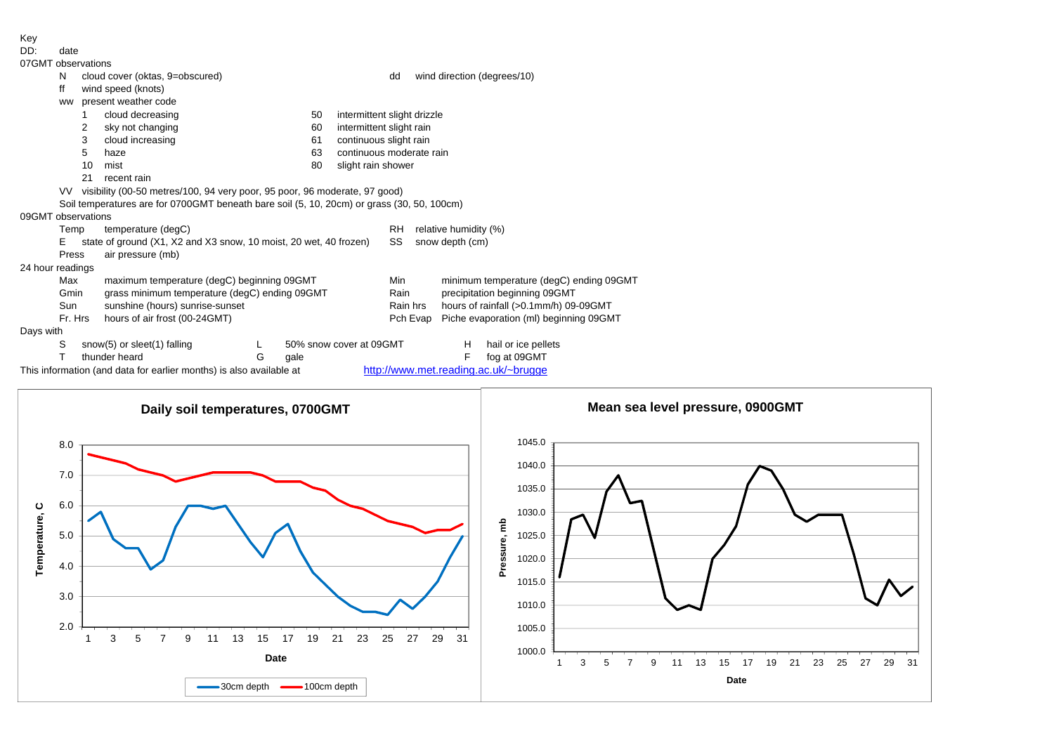| ٠<br>× |  |
|--------|--|
|        |  |

|                                                                                                  |                                                                  |                                                                                                                                                                            | dd                                                                |                                                                                                     |                                                                                                                                                                                                                                                 |  |  |  |  |  |  |
|--------------------------------------------------------------------------------------------------|------------------------------------------------------------------|----------------------------------------------------------------------------------------------------------------------------------------------------------------------------|-------------------------------------------------------------------|-----------------------------------------------------------------------------------------------------|-------------------------------------------------------------------------------------------------------------------------------------------------------------------------------------------------------------------------------------------------|--|--|--|--|--|--|
|                                                                                                  |                                                                  |                                                                                                                                                                            |                                                                   |                                                                                                     |                                                                                                                                                                                                                                                 |  |  |  |  |  |  |
|                                                                                                  |                                                                  |                                                                                                                                                                            |                                                                   |                                                                                                     |                                                                                                                                                                                                                                                 |  |  |  |  |  |  |
|                                                                                                  | 50                                                               |                                                                                                                                                                            |                                                                   |                                                                                                     |                                                                                                                                                                                                                                                 |  |  |  |  |  |  |
|                                                                                                  | 60                                                               |                                                                                                                                                                            |                                                                   |                                                                                                     |                                                                                                                                                                                                                                                 |  |  |  |  |  |  |
|                                                                                                  | 61                                                               |                                                                                                                                                                            |                                                                   |                                                                                                     |                                                                                                                                                                                                                                                 |  |  |  |  |  |  |
|                                                                                                  | 63                                                               |                                                                                                                                                                            |                                                                   |                                                                                                     |                                                                                                                                                                                                                                                 |  |  |  |  |  |  |
|                                                                                                  | 80                                                               |                                                                                                                                                                            |                                                                   |                                                                                                     |                                                                                                                                                                                                                                                 |  |  |  |  |  |  |
|                                                                                                  |                                                                  |                                                                                                                                                                            |                                                                   |                                                                                                     |                                                                                                                                                                                                                                                 |  |  |  |  |  |  |
| recent rain<br>visibility (00-50 metres/100, 94 very poor, 95 poor, 96 moderate, 97 good)<br>VV. |                                                                  |                                                                                                                                                                            |                                                                   |                                                                                                     |                                                                                                                                                                                                                                                 |  |  |  |  |  |  |
|                                                                                                  |                                                                  |                                                                                                                                                                            |                                                                   |                                                                                                     |                                                                                                                                                                                                                                                 |  |  |  |  |  |  |
|                                                                                                  |                                                                  |                                                                                                                                                                            |                                                                   |                                                                                                     |                                                                                                                                                                                                                                                 |  |  |  |  |  |  |
|                                                                                                  |                                                                  |                                                                                                                                                                            | <b>RH</b><br>relative humidity (%)                                |                                                                                                     |                                                                                                                                                                                                                                                 |  |  |  |  |  |  |
|                                                                                                  |                                                                  |                                                                                                                                                                            | SS                                                                |                                                                                                     |                                                                                                                                                                                                                                                 |  |  |  |  |  |  |
|                                                                                                  |                                                                  |                                                                                                                                                                            |                                                                   |                                                                                                     |                                                                                                                                                                                                                                                 |  |  |  |  |  |  |
|                                                                                                  |                                                                  |                                                                                                                                                                            |                                                                   |                                                                                                     |                                                                                                                                                                                                                                                 |  |  |  |  |  |  |
|                                                                                                  |                                                                  |                                                                                                                                                                            | Min                                                               |                                                                                                     | minimum temperature (degC) ending 09GMT                                                                                                                                                                                                         |  |  |  |  |  |  |
|                                                                                                  |                                                                  |                                                                                                                                                                            | Rain                                                              |                                                                                                     | precipitation beginning 09GMT                                                                                                                                                                                                                   |  |  |  |  |  |  |
|                                                                                                  |                                                                  |                                                                                                                                                                            | Rain hrs                                                          |                                                                                                     | hours of rainfall (>0.1mm/h) 09-09GMT                                                                                                                                                                                                           |  |  |  |  |  |  |
|                                                                                                  |                                                                  |                                                                                                                                                                            | Pch Evap                                                          |                                                                                                     | Piche evaporation (ml) beginning 09GMT                                                                                                                                                                                                          |  |  |  |  |  |  |
|                                                                                                  |                                                                  |                                                                                                                                                                            |                                                                   |                                                                                                     |                                                                                                                                                                                                                                                 |  |  |  |  |  |  |
| L                                                                                                |                                                                  |                                                                                                                                                                            |                                                                   | Н                                                                                                   | hail or ice pellets                                                                                                                                                                                                                             |  |  |  |  |  |  |
| G                                                                                                |                                                                  |                                                                                                                                                                            |                                                                   | F                                                                                                   | fog at 09GMT                                                                                                                                                                                                                                    |  |  |  |  |  |  |
|                                                                                                  |                                                                  |                                                                                                                                                                            |                                                                   |                                                                                                     |                                                                                                                                                                                                                                                 |  |  |  |  |  |  |
|                                                                                                  | sunshine (hours) sunrise-sunset<br>hours of air frost (00-24GMT) | maximum temperature (degC) beginning 09GMT<br>grass minimum temperature (degC) ending 09GMT<br>qale<br>This information (and data for earlier months) is also available at | state of ground (X1, X2 and X3 snow, 10 moist, 20 wet, 40 frozen) | intermittent slight rain<br>continuous slight rain<br>slight rain shower<br>50% snow cover at 09GMT | wind direction (degrees/10)<br>intermittent slight drizzle<br>continuous moderate rain<br>Soil temperatures are for 0700GMT beneath bare soil (5, 10, 20cm) or grass (30, 50, 100cm)<br>snow depth (cm)<br>http://www.met.reading.ac.uk/~brugge |  |  |  |  |  |  |